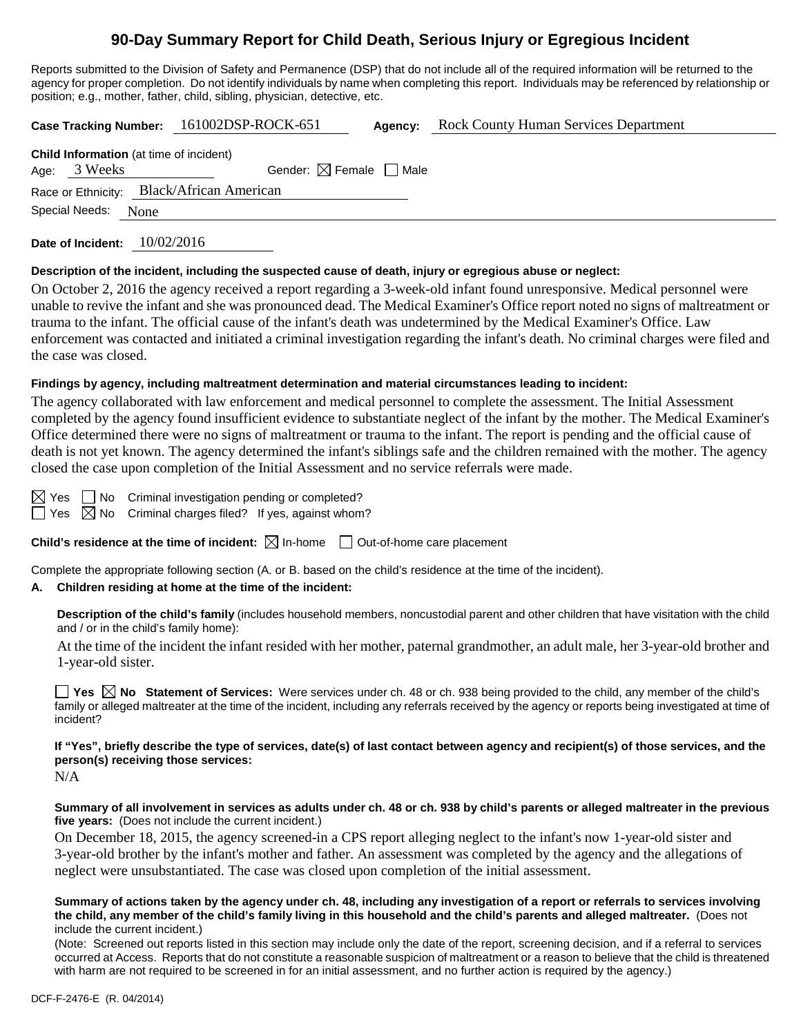# **90-Day Summary Report for Child Death, Serious Injury or Egregious Incident**

Reports submitted to the Division of Safety and Permanence (DSP) that do not include all of the required information will be returned to the agency for proper completion. Do not identify individuals by name when completing this report. Individuals may be referenced by relationship or position; e.g., mother, father, child, sibling, physician, detective, etc.

|  |                                                                |      | Case Tracking Number: 161002DSP-ROCK-651  | Agency: | <b>Rock County Human Services Department</b> |
|--|----------------------------------------------------------------|------|-------------------------------------------|---------|----------------------------------------------|
|  | <b>Child Information</b> (at time of incident)<br>Age: 3 Weeks |      | Gender: $\boxtimes$ Female $\Box$ Male    |         |                                              |
|  |                                                                |      | Race or Ethnicity: Black/African American |         |                                              |
|  | Special Needs:                                                 | None |                                           |         |                                              |

**Date of Incident:** 10/02/2016

#### **Description of the incident, including the suspected cause of death, injury or egregious abuse or neglect:**

On October 2, 2016 the agency received a report regarding a 3-week-old infant found unresponsive. Medical personnel were unable to revive the infant and she was pronounced dead. The Medical Examiner's Office report noted no signs of maltreatment or trauma to the infant. The official cause of the infant's death was undetermined by the Medical Examiner's Office. Law enforcement was contacted and initiated a criminal investigation regarding the infant's death. No criminal charges were filed and the case was closed.

#### **Findings by agency, including maltreatment determination and material circumstances leading to incident:**

The agency collaborated with law enforcement and medical personnel to complete the assessment. The Initial Assessment completed by the agency found insufficient evidence to substantiate neglect of the infant by the mother. The Medical Examiner's Office determined there were no signs of maltreatment or trauma to the infant. The report is pending and the official cause of death is not yet known. The agency determined the infant's siblings safe and the children remained with the mother. The agency closed the case upon completion of the Initial Assessment and no service referrals were made.

 $\boxtimes$  Yes  $\Box$  No Criminal investigation pending or completed?  $\Box$  Yes  $\boxtimes$  No Criminal charges filed? If yes, against whom?

**Child's residence at the time of incident:**  $\boxtimes$  In-home  $\Box$  Out-of-home care placement

Complete the appropriate following section (A. or B. based on the child's residence at the time of the incident).

#### **A. Children residing at home at the time of the incident:**

**Description of the child's family** (includes household members, noncustodial parent and other children that have visitation with the child and / or in the child's family home):

At the time of the incident the infant resided with her mother, paternal grandmother, an adult male, her 3-year-old brother and 1-year-old sister.

**Yes**  $\boxtimes$  **No** Statement of Services: Were services under ch. 48 or ch. 938 being provided to the child, any member of the child's family or alleged maltreater at the time of the incident, including any referrals received by the agency or reports being investigated at time of incident?

## **If "Yes", briefly describe the type of services, date(s) of last contact between agency and recipient(s) of those services, and the person(s) receiving those services:**

N/A

#### **Summary of all involvement in services as adults under ch. 48 or ch. 938 by child's parents or alleged maltreater in the previous five years:** (Does not include the current incident.)

On December 18, 2015, the agency screened-in a CPS report alleging neglect to the infant's now 1-year-old sister and 3-year-old brother by the infant's mother and father. An assessment was completed by the agency and the allegations of neglect were unsubstantiated. The case was closed upon completion of the initial assessment.

#### **Summary of actions taken by the agency under ch. 48, including any investigation of a report or referrals to services involving the child, any member of the child's family living in this household and the child's parents and alleged maltreater.** (Does not include the current incident.)

(Note: Screened out reports listed in this section may include only the date of the report, screening decision, and if a referral to services occurred at Access. Reports that do not constitute a reasonable suspicion of maltreatment or a reason to believe that the child is threatened with harm are not required to be screened in for an initial assessment, and no further action is required by the agency.)